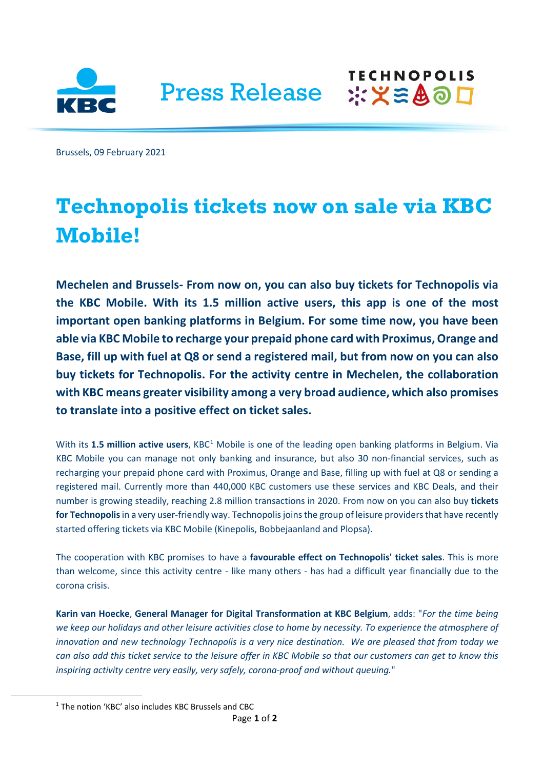

Press Release :XX SAOD

Brussels, 09 February 2021

## **Technopolis tickets now on sale via KBC Mobile!**

**TECHNOPOLIS** 

**Mechelen and Brussels- From now on, you can also buy tickets for Technopolis via the KBC Mobile. With its 1.5 million active users, this app is one of the most important open banking platforms in Belgium. For some time now, you have been able via KBC Mobile to recharge your prepaid phone card with Proximus, Orange and Base, fill up with fuel at Q8 or send a registered mail, but from now on you can also buy tickets for Technopolis. For the activity centre in Mechelen, the collaboration with KBC means greater visibility among a very broad audience, which also promises to translate into a positive effect on ticket sales.**

With its [1](#page-0-0).5 million active users, KBC<sup>1</sup> Mobile is one of the leading open banking platforms in Belgium. Via KBC Mobile you can manage not only banking and insurance, but also 30 non-financial services, such as recharging your prepaid phone card with Proximus, Orange and Base, filling up with fuel at Q8 or sending a registered mail. Currently more than 440,000 KBC customers use these services and KBC Deals, and their number is growing steadily, reaching 2.8 million transactions in 2020. From now on you can also buy **tickets for Technopolis**in a very user-friendly way. Technopolis joins the group of leisure providers that have recently started offering tickets via KBC Mobile (Kinepolis, Bobbejaanland and Plopsa).

The cooperation with KBC promises to have a **favourable effect on Technopolis' ticket sales**. This is more than welcome, since this activity centre - like many others - has had a difficult year financially due to the corona crisis.

**Karin van Hoecke**, **General Manager for Digital Transformation at KBC Belgium**, adds: "*For the time being we keep our holidays and other leisure activities close to home by necessity. To experience the atmosphere of innovation and new technology Technopolis is a very nice destination. We are pleased that from today we can also add this ticket service to the leisure offer in KBC Mobile so that our customers can get to know this inspiring activity centre very easily, very safely, corona-proof and without queuing.*"

<span id="page-0-0"></span><sup>1</sup> The notion 'KBC' also includes KBC Brussels and CBC